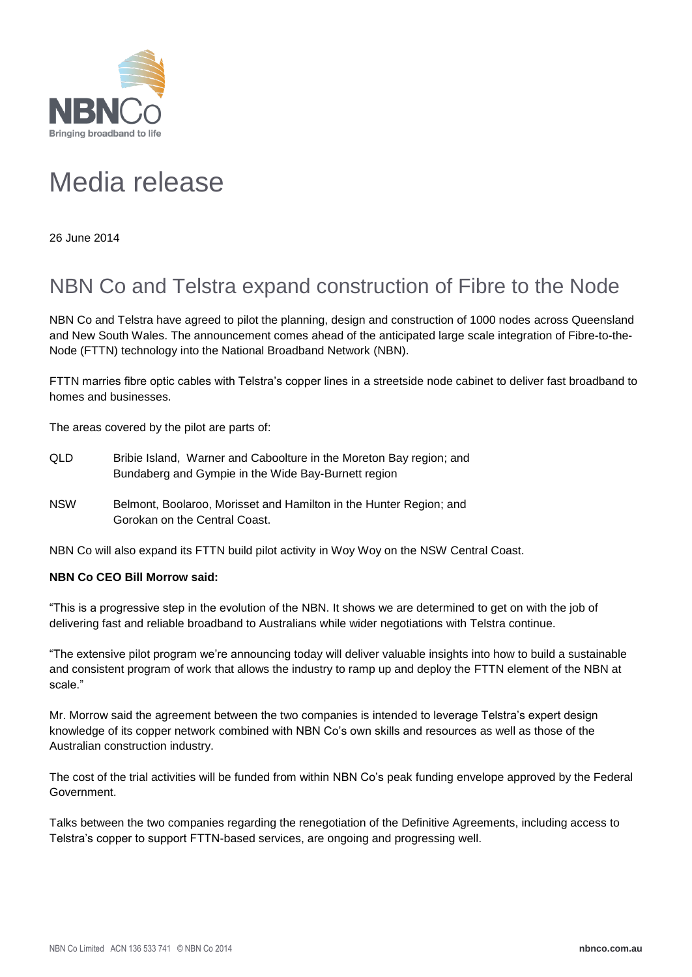

## Media release

26 June 2014

## NBN Co and Telstra expand construction of Fibre to the Node

NBN Co and Telstra have agreed to pilot the planning, design and construction of 1000 nodes across Queensland and New South Wales. The announcement comes ahead of the anticipated large scale integration of Fibre-to-the-Node (FTTN) technology into the National Broadband Network (NBN).

FTTN marries fibre optic cables with Telstra's copper lines in a streetside node cabinet to deliver fast broadband to homes and businesses.

The areas covered by the pilot are parts of:

- QLD Bribie Island, Warner and Caboolture in the Moreton Bay region; and Bundaberg and Gympie in the Wide Bay-Burnett region
- NSW Belmont, Boolaroo, Morisset and Hamilton in the Hunter Region; and Gorokan on the Central Coast.

NBN Co will also expand its FTTN build pilot activity in Woy Woy on the NSW Central Coast.

## **NBN Co CEO Bill Morrow said:**

"This is a progressive step in the evolution of the NBN. It shows we are determined to get on with the job of delivering fast and reliable broadband to Australians while wider negotiations with Telstra continue.

"The extensive pilot program we're announcing today will deliver valuable insights into how to build a sustainable and consistent program of work that allows the industry to ramp up and deploy the FTTN element of the NBN at scale."

Mr. Morrow said the agreement between the two companies is intended to leverage Telstra's expert design knowledge of its copper network combined with NBN Co's own skills and resources as well as those of the Australian construction industry.

The cost of the trial activities will be funded from within NBN Co's peak funding envelope approved by the Federal Government.

Talks between the two companies regarding the renegotiation of the Definitive Agreements, including access to Telstra's copper to support FTTN-based services, are ongoing and progressing well.